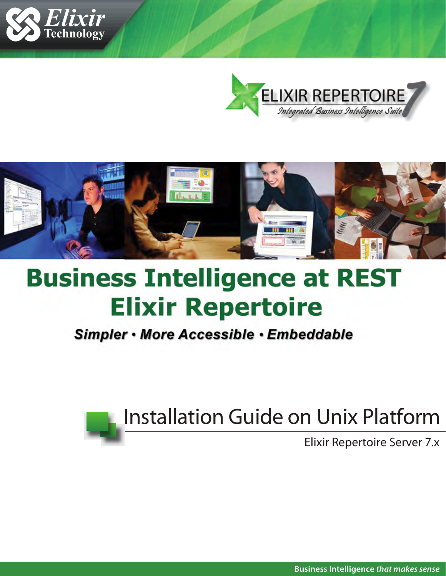





# **Business Intelligence at REST Elixir Repertoire**

Simpler • More Accessible • Embeddable

Installation Guide on Unix Platform

Elixir Repertoire Server 7.x

**Business Intelligence** *that makes sense*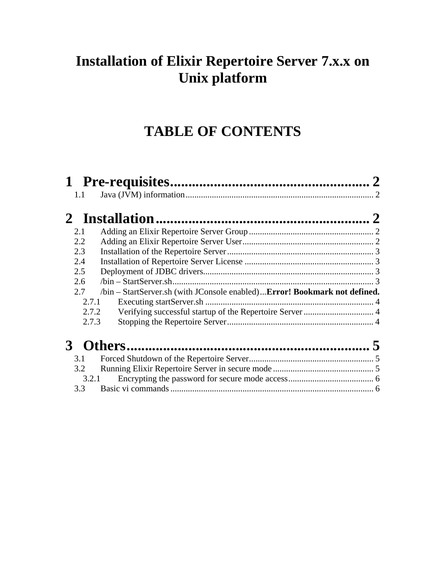# **Installation of Elixir Repertoire Server 7.x.x on Unix platform**

# **TABLE OF CONTENTS**

| 1.1   |                                                                           |  |
|-------|---------------------------------------------------------------------------|--|
|       |                                                                           |  |
| 2.1   |                                                                           |  |
| 2.2   |                                                                           |  |
| 2.3   |                                                                           |  |
| 2.4   |                                                                           |  |
| 2.5   |                                                                           |  |
| 2.6   |                                                                           |  |
| 2.7   | /bin – StartServer.sh (with JConsole enabled)Error! Bookmark not defined. |  |
| 2.7.1 |                                                                           |  |
| 2.7.2 | Verifying successful startup of the Repertoire Server  4                  |  |
| 2.7.3 |                                                                           |  |
|       |                                                                           |  |
| 3.1   |                                                                           |  |
| 3.2   |                                                                           |  |
| 3.2.1 |                                                                           |  |
| 3.3   |                                                                           |  |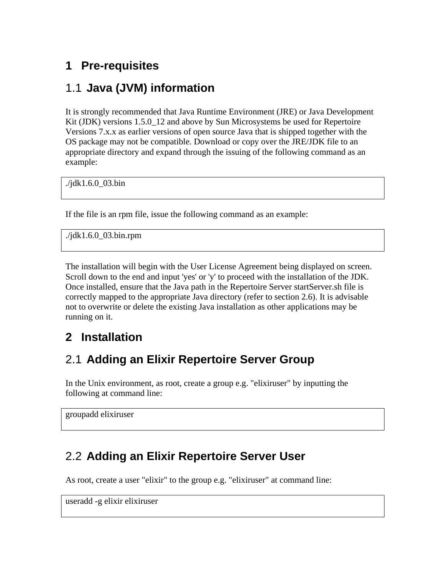# **1 Pre-requisites**

# 1.1 **Java (JVM) information**

It is strongly recommended that Java Runtime Environment (JRE) or Java Development Kit (JDK) versions 1.5.0\_12 and above by Sun Microsystems be used for Repertoire Versions 7.x.x as earlier versions of open source Java that is shipped together with the OS package may not be compatible. Download or copy over the JRE/JDK file to an appropriate directory and expand through the issuing of the following command as an example:

./jdk1.6.0\_03.bin

If the file is an rpm file, issue the following command as an example:

./jdk1.6.0\_03.bin.rpm

The installation will begin with the User License Agreement being displayed on screen. Scroll down to the end and input 'yes' or 'y' to proceed with the installation of the JDK. Once installed, ensure that the Java path in the Repertoire Server startServer.sh file is correctly mapped to the appropriate Java directory (refer to section 2.6). It is advisable not to overwrite or delete the existing Java installation as other applications may be running on it.

# **2 Installation**

# 2.1 **Adding an Elixir Repertoire Server Group**

In the Unix environment, as root, create a group e.g. "elixiruser" by inputting the following at command line:

groupadd elixiruser

# 2.2 **Adding an Elixir Repertoire Server User**

As root, create a user "elixir" to the group e.g. "elixiruser" at command line:

```
useradd -g elixir elixiruser
```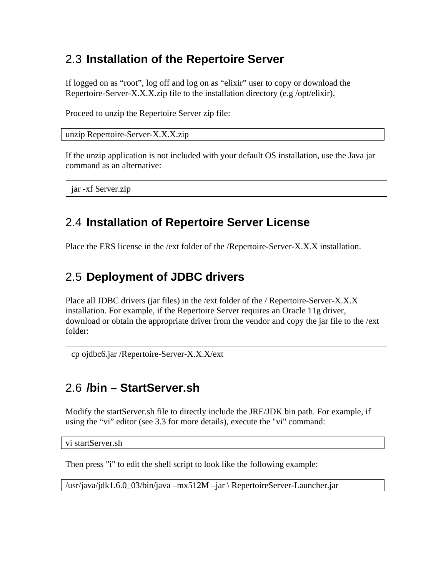# 2.3 **Installation of the Repertoire Server**

If logged on as "root", log off and log on as "elixir" user to copy or download the Repertoire-Server-X.X.X.zip file to the installation directory (e.g /opt/elixir).

Proceed to unzip the Repertoire Server zip file:

```
unzip Repertoire-Server-X.X.X.zip
```
If the unzip application is not included with your default OS installation, use the Java jar command as an alternative:

jar -xf Server.zip

#### 2.4 **Installation of Repertoire Server License**

Place the ERS license in the /ext folder of the /Repertoire-Server-X.X.X installation.

# 2.5 **Deployment of JDBC drivers**

Place all JDBC drivers (jar files) in the /ext folder of the / Repertoire-Server-X.X.X installation. For example, if the Repertoire Server requires an Oracle 11g driver, download or obtain the appropriate driver from the vendor and copy the jar file to the /ext folder:

cp ojdbc6.jar /Repertoire-Server-X.X.X/ext

#### 2.6 **/bin – StartServer.sh**

Modify the startServer.sh file to directly include the JRE/JDK bin path. For example, if using the "vi" editor (see 3.3 for more details), execute the "vi" command:

vi startServer.sh

Then press "i" to edit the shell script to look like the following example:

/usr/java/jdk1.6.0\_03/bin/java –mx512M –jar \ RepertoireServer-Launcher.jar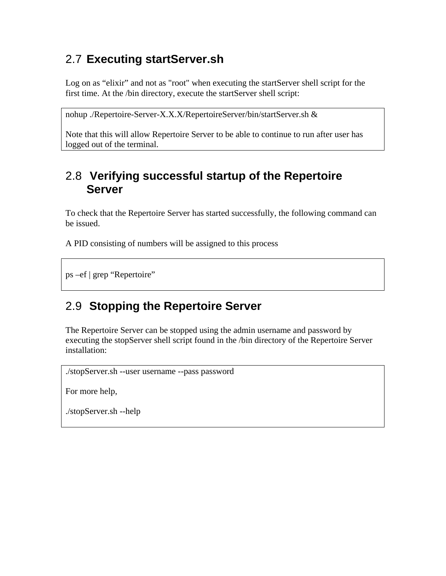# 2.7 **Executing startServer.sh**

Log on as "elixir" and not as "root" when executing the startServer shell script for the first time. At the /bin directory, execute the startServer shell script:

nohup ./Repertoire-Server-X.X.X/RepertoireServer/bin/startServer.sh &

Note that this will allow Repertoire Server to be able to continue to run after user has logged out of the terminal.

# 2.8 **Verifying successful startup of the Repertoire Server**

To check that the Repertoire Server has started successfully, the following command can be issued.

A PID consisting of numbers will be assigned to this process

ps –ef | grep "Repertoire"

#### 2.9 **Stopping the Repertoire Server**

The Repertoire Server can be stopped using the admin username and password by executing the stopServer shell script found in the /bin directory of the Repertoire Server installation:

```
./stopServer.sh --user username --pass password
```
For more help,

./stopServer.sh --help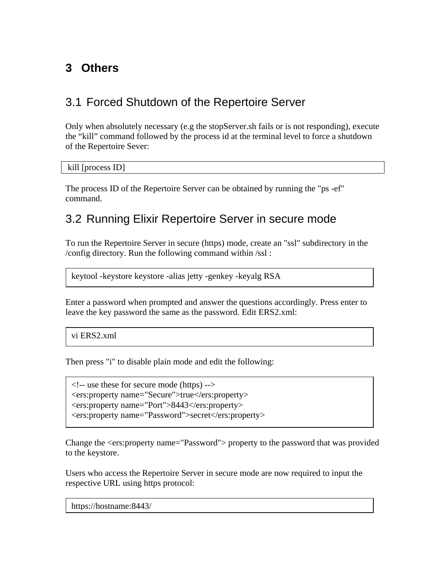# **3 Others**

# 3.1 Forced Shutdown of the Repertoire Server

Only when absolutely necessary (e.g the stopServer.sh fails or is not responding), execute the "kill" command followed by the process id at the terminal level to force a shutdown of the Repertoire Sever:

kill [process ID]

The process ID of the Repertoire Server can be obtained by running the "ps -ef" command.

#### 3.2 Running Elixir Repertoire Server in secure mode

To run the Repertoire Server in secure (https) mode, create an "ssl" subdirectory in the /config directory. Run the following command within /ssl :

```
keytool -keystore keystore -alias jetty -genkey -keyalg RSA
```
Enter a password when prompted and answer the questions accordingly. Press enter to leave the key password the same as the password. Edit ERS2.xml:

vi ERS2.xml

Then press "i" to disable plain mode and edit the following:

<!-- use these for secure mode (https) --> <ers:property name="Secure">true</ers:property> <ers:property name="Port">8443</ers:property> <ers:property name="Password">secret</ers:property>

Change the <ers:property name="Password"> property to the password that was provided to the keystore.

Users who access the Repertoire Server in secure mode are now required to input the respective URL using https protocol:

https://hostname:8443/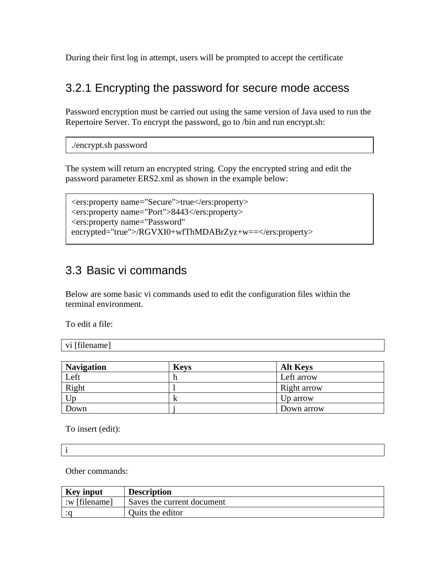During their first log in attempt, users will be prompted to accept the certificate

#### 3.2.1Encrypting the password for secure mode access

Password encryption must be carried out using the same version of Java used to run the Repertoire Server. To encrypt the password, go to /bin and run encrypt.sh:

./encrypt.sh password

The system will return an encrypted string. Copy the encrypted string and edit the password parameter ERS2.xml as shown in the example below:

```
<ers:property name="Secure">true</ers:property> 
<ers:property name="Port">8443</ers:property> 
<ers:property name="Password" 
encrypted="true">/RGVXI0+wfThMDABrZyz+w==</ers:property>
```
#### 3.3 Basic vi commands

Below are some basic vi commands used to edit the configuration files within the terminal environment.

To edit a file:

| vi [filename]     |             |                 |
|-------------------|-------------|-----------------|
|                   |             |                 |
| <b>Navigation</b> | <b>Keys</b> | <b>Alt Keys</b> |

| Navigation | <b>Kevs</b> | Alt Keys    |
|------------|-------------|-------------|
| Left       |             | Left arrow  |
| Right      |             | Right arrow |
| . Jr       | v           | Up arrow    |
| Jown       |             | Down arrow  |

To insert (edit):

i

Other commands:

| <b>Key input</b> | <b>Description</b>         |
|------------------|----------------------------|
| :w [filename]    | Saves the current document |
|                  | Quits the editor           |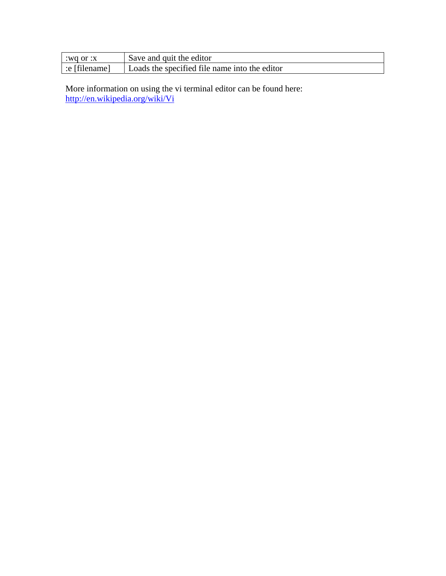| $:wa$ or $: x$ | Save and quit the editor                      |
|----------------|-----------------------------------------------|
| :e [filename]  | Loads the specified file name into the editor |

More information on using the vi terminal editor can be found here: http://en.wikipedia.org/wiki/Vi